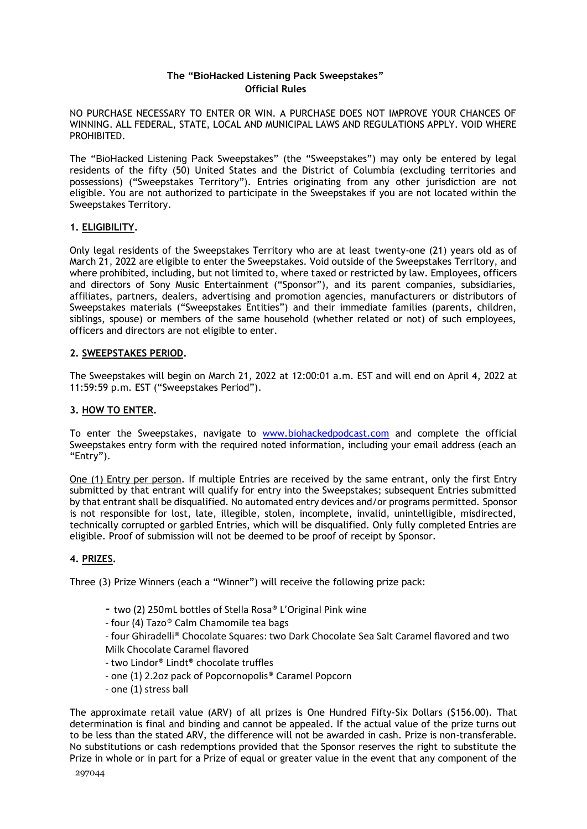### **The "BioHacked Listening Pack Sweepstakes" Official Rules**

NO PURCHASE NECESSARY TO ENTER OR WIN. A PURCHASE DOES NOT IMPROVE YOUR CHANCES OF WINNING. ALL FEDERAL, STATE, LOCAL AND MUNICIPAL LAWS AND REGULATIONS APPLY. VOID WHERE PROHIBITED.

The "BioHacked Listening Pack Sweepstakes" (the "Sweepstakes") may only be entered by legal residents of the fifty (50) United States and the District of Columbia (excluding territories and possessions) ("Sweepstakes Territory"). Entries originating from any other jurisdiction are not eligible. You are not authorized to participate in the Sweepstakes if you are not located within the Sweepstakes Territory.

#### **1. ELIGIBILITY.**

Only legal residents of the Sweepstakes Territory who are at least twenty-one (21) years old as of March 21, 2022 are eligible to enter the Sweepstakes. Void outside of the Sweepstakes Territory, and where prohibited, including, but not limited to, where taxed or restricted by law. Employees, officers and directors of Sony Music Entertainment ("Sponsor"), and its parent companies, subsidiaries, affiliates, partners, dealers, advertising and promotion agencies, manufacturers or distributors of Sweepstakes materials ("Sweepstakes Entities") and their immediate families (parents, children, siblings, spouse) or members of the same household (whether related or not) of such employees, officers and directors are not eligible to enter.

#### **2. SWEEPSTAKES PERIOD.**

The Sweepstakes will begin on March 21, 2022 at 12:00:01 a.m. EST and will end on April 4, 2022 at 11:59:59 p.m. EST ("Sweepstakes Period").

### **3. HOW TO ENTER.**

To enter the Sweepstakes, navigate to [www.biohackedpodcast.com](http://www.biohackedpodcast.com/) and complete the official Sweepstakes entry form with the required noted information, including your email address (each an "Entry").

One (1) Entry per person. If multiple Entries are received by the same entrant, only the first Entry submitted by that entrant will qualify for entry into the Sweepstakes; subsequent Entries submitted by that entrant shall be disqualified. No automated entry devices and/or programs permitted. Sponsor is not responsible for lost, late, illegible, stolen, incomplete, invalid, unintelligible, misdirected, technically corrupted or garbled Entries, which will be disqualified. Only fully completed Entries are eligible. Proof of submission will not be deemed to be proof of receipt by Sponsor.

### **4. PRIZES.**

Three (3) Prize Winners (each a "Winner") will receive the following prize pack:

- two (2) 250mL bottles of Stella Rosa® L'Original Pink wine
- four (4) Tazo® Calm Chamomile tea bags

- four Ghiradelli® Chocolate Squares: two Dark Chocolate Sea Salt Caramel flavored and two Milk Chocolate Caramel flavored

- two Lindor® Lindt® chocolate truffles
- one (1) 2.2oz pack of Popcornopolis® Caramel Popcorn
- one (1) stress ball

The approximate retail value (ARV) of all prizes is One Hundred Fifty-Six Dollars (\$156.00). That determination is final and binding and cannot be appealed. If the actual value of the prize turns out to be less than the stated ARV, the difference will not be awarded in cash. Prize is non-transferable. No substitutions or cash redemptions provided that the Sponsor reserves the right to substitute the Prize in whole or in part for a Prize of equal or greater value in the event that any component of the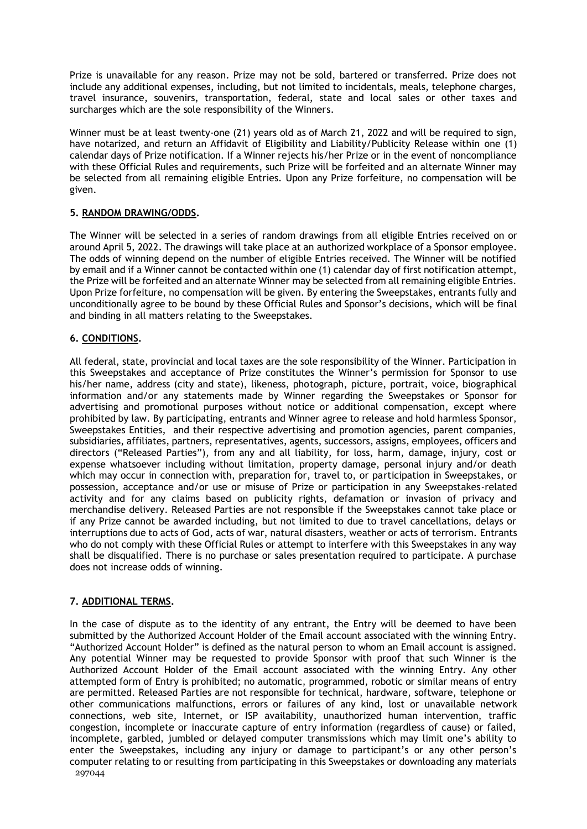Prize is unavailable for any reason. Prize may not be sold, bartered or transferred. Prize does not include any additional expenses, including, but not limited to incidentals, meals, telephone charges, travel insurance, souvenirs, transportation, federal, state and local sales or other taxes and surcharges which are the sole responsibility of the Winners.

Winner must be at least twenty-one (21) years old as of March 21, 2022 and will be required to sign, have notarized, and return an Affidavit of Eligibility and Liability/Publicity Release within one (1) calendar days of Prize notification. If a Winner rejects his/her Prize or in the event of noncompliance with these Official Rules and requirements, such Prize will be forfeited and an alternate Winner may be selected from all remaining eligible Entries. Upon any Prize forfeiture, no compensation will be given.

### **5. RANDOM DRAWING/ODDS.**

The Winner will be selected in a series of random drawings from all eligible Entries received on or around April 5, 2022. The drawings will take place at an authorized workplace of a Sponsor employee. The odds of winning depend on the number of eligible Entries received. The Winner will be notified by email and if a Winner cannot be contacted within one (1) calendar day of first notification attempt, the Prize will be forfeited and an alternate Winner may be selected from all remaining eligible Entries. Upon Prize forfeiture, no compensation will be given. By entering the Sweepstakes, entrants fully and unconditionally agree to be bound by these Official Rules and Sponsor's decisions, which will be final and binding in all matters relating to the Sweepstakes.

# **6. CONDITIONS.**

All federal, state, provincial and local taxes are the sole responsibility of the Winner. Participation in this Sweepstakes and acceptance of Prize constitutes the Winner's permission for Sponsor to use his/her name, address (city and state), likeness, photograph, picture, portrait, voice, biographical information and/or any statements made by Winner regarding the Sweepstakes or Sponsor for advertising and promotional purposes without notice or additional compensation, except where prohibited by law. By participating, entrants and Winner agree to release and hold harmless Sponsor, Sweepstakes Entities, and their respective advertising and promotion agencies, parent companies, subsidiaries, affiliates, partners, representatives, agents, successors, assigns, employees, officers and directors ("Released Parties"), from any and all liability, for loss, harm, damage, injury, cost or expense whatsoever including without limitation, property damage, personal injury and/or death which may occur in connection with, preparation for, travel to, or participation in Sweepstakes, or possession, acceptance and/or use or misuse of Prize or participation in any Sweepstakes-related activity and for any claims based on publicity rights, defamation or invasion of privacy and merchandise delivery. Released Parties are not responsible if the Sweepstakes cannot take place or if any Prize cannot be awarded including, but not limited to due to travel cancellations, delays or interruptions due to acts of God, acts of war, natural disasters, weather or acts of terrorism. Entrants who do not comply with these Official Rules or attempt to interfere with this Sweepstakes in any way shall be disqualified. There is no purchase or sales presentation required to participate. A purchase does not increase odds of winning.

### **7. ADDITIONAL TERMS.**

297044 In the case of dispute as to the identity of any entrant, the Entry will be deemed to have been submitted by the Authorized Account Holder of the Email account associated with the winning Entry. "Authorized Account Holder" is defined as the natural person to whom an Email account is assigned. Any potential Winner may be requested to provide Sponsor with proof that such Winner is the Authorized Account Holder of the Email account associated with the winning Entry. Any other attempted form of Entry is prohibited; no automatic, programmed, robotic or similar means of entry are permitted. Released Parties are not responsible for technical, hardware, software, telephone or other communications malfunctions, errors or failures of any kind, lost or unavailable network connections, web site, Internet, or ISP availability, unauthorized human intervention, traffic congestion, incomplete or inaccurate capture of entry information (regardless of cause) or failed, incomplete, garbled, jumbled or delayed computer transmissions which may limit one's ability to enter the Sweepstakes, including any injury or damage to participant's or any other person's computer relating to or resulting from participating in this Sweepstakes or downloading any materials